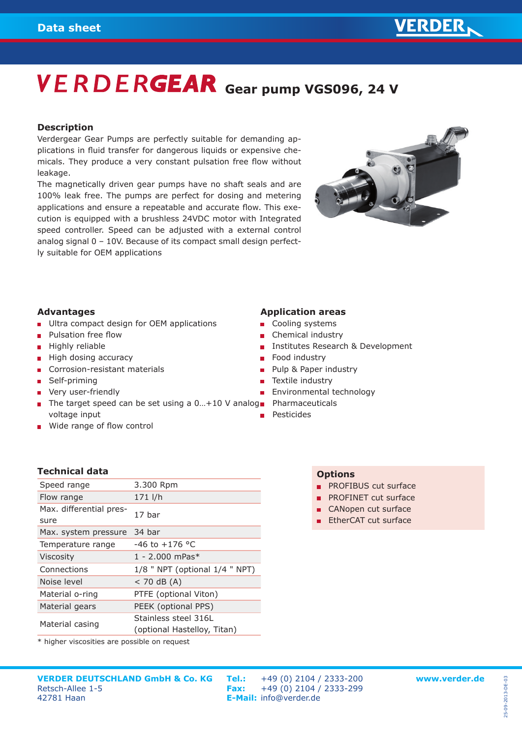# **VERDERGEAR** Gear pump VGS096, 24 V

#### **Description**

Verdergear Gear Pumps are perfectly suitable for demanding applications in fluid transfer for dangerous liquids or expensive chemicals. They produce a very constant pulsation free flow without leakage.

The magnetically driven gear pumps have no shaft seals and are 100% leak free. The pumps are perfect for dosing and metering applications and ensure a repeatable and accurate flow. This execution is equipped with a brushless 24VDC motor with Integrated speed controller. Speed can be adjusted with a external control analog signal 0 – 10V. Because of its compact small design perfectly suitable for OEM applications



### **Advantages**

- **Ultra compact design for OEM applications**
- Pulsation free flow  $\blacksquare$
- Highly reliable
- High dosing accuracy
- Corrosion-resistant materials
- Self-priming
- **very user-friendly**
- The target speed can be set using a 0...+10 V analog Pharmaceuticals voltage input
- **Wide range of flow control**

#### **Application areas**

- Cooling systems
- Chemical industry
- Institutes Research & Development
- $\mathbf{r}$ Food industry
- Pulp & Paper industry  $\blacksquare$
- Textile industry
- Environmental technology  $\mathbf{m}$  .
- 
- Pesticides

### **Technical data**

| Speed range                     | 3.300 Rpm                                           |
|---------------------------------|-----------------------------------------------------|
| Flow range                      | 171 l/h                                             |
| Max. differential pres-<br>sure | 17 har                                              |
| Max. system pressure            | 34 bar                                              |
| Temperature range               | $-46$ to $+176$ °C                                  |
| <b>Viscosity</b>                | $1 - 2.000$ mPas <sup>*</sup>                       |
| Connections                     | $1/8$ " NPT (optional $1/4$ " NPT)                  |
| Noise level                     | $<$ 70 dB (A)                                       |
| Material o-ring                 | PTFE (optional Viton)                               |
| Material gears                  | PEEK (optional PPS)                                 |
| Material casing                 | Stainless steel 316L<br>(optional Hastelloy, Titan) |
|                                 |                                                     |

\* higher viscosities are possible on request

## **Options**

- **PROFIBUS cut surface**
- **PROFINET cut surface**
- CANopen cut surface
- **EtherCAT cut surface**